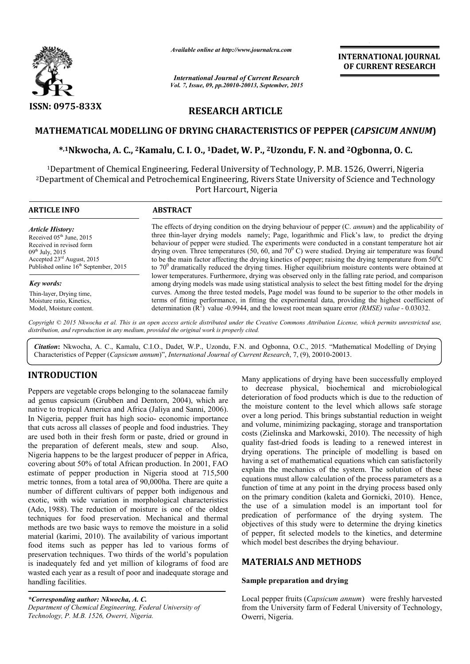

*Available online at http://www.journalcra.com*

*International Journal of Current Research Vol. 7, Issue, 09, pp.20010-20013, September, 2015* **INTERNATIONAL INTERNATIONAL JOURNAL OF CURRENT RESEARCH** 

# **RESEARCH ARTICLE**

## **MATHEMATICAL MODELLING OF DRYING CHARACTERISTICS OF PEPPER (** *CAPSICUM ANNUM***)**

# **\*,1Nkwocha, A. C., 2Kamalu, C. Kamalu, I. O., 1Dadet, W. P., 2Uzondu, F. N. and and 2Ogbonna, O. C.**

1Department of Chemical Engineering, Federal University of Technology, P. M.B. 1526, Owerri, Nigeria 2Department of Chemical and Petrochemical Engineering, Rivers State University of Science and Technology Department of Chemical Engineering, Federal University of T<br>† partment of Chemical and Petrochemical Engineering, Rivers<br>Port Harcourt, Nigeria of

| <b>ARTICLE INFO</b>                               | <b>ABSTRACT</b>                                                                                                                                                                                                 |
|---------------------------------------------------|-----------------------------------------------------------------------------------------------------------------------------------------------------------------------------------------------------------------|
| <b>Article History:</b>                           | The effects of drying condition on the drying behaviour of pepper (C. <i>annum</i> ) and the applicability of                                                                                                   |
| Received $05th$ June, 2015                        | three thin-layer drying models namely; Page, logarithmic and Flick's law, to predict the drying                                                                                                                 |
| Received in revised form                          | behaviour of pepper were studied. The experiments were conducted in a constant temperature hot air                                                                                                              |
| $09^{th}$ July, 2015                              | drying oven. Three temperatures (50, 60, and 70 $^{\circ}$ C) were studied. Drying air temperature was found                                                                                                    |
| Accepted $23rd$ August, 2015                      | to be the main factor affecting the drying kinetics of pepper; raising the drying temperature from $50^{\circ}$ C                                                                                               |
| Published online 16 <sup>th</sup> September, 2015 | to $700$ dramatically reduced the drying times. Higher equilibrium moisture contents were obtained at                                                                                                           |
| Key words:                                        | lower temperatures. Furthermore, drying was observed only in the falling rate period, and comparison<br>among drying models was made using statistical analysis to select the best fitting model for the drying |
| Thin-layer, Drying time,                          | curves. Among the three tested models, Page model was found to be superior to the other models in                                                                                                               |
| Moisture ratio, Kinetics,                         | terms of fitting performance, in fitting the experimental data, providing the highest coefficient of                                                                                                            |
| Model, Moisture content.                          | determination $(R^2)$ value -0.9944, and the lowest root mean square error <i>(RMSE) value</i> - 0.03032.                                                                                                       |

Copyright © 2015 Nkwocha et al. This is an open access article distributed under the Creative Commons Attribution License, which permits unrestricted use, *distribution, and reproduction in any medium, provided the original work is properly cited.*

**Citation:** Nkwocha, A. C., Kamalu, C.I.O., Dadet, W.P., Uzondu, F.N. and Ogbonna, O.C., 2015. "Mathematical Modelling of Drying Characteristics of Pepper (Capsicum annum)", International Journal of Current Research, 7, (9 Characteristics of Pepper (*Capsicum annum*)", *International Journal of Current Research* , 7, (9), 20010-200

## **INTRODUCTION**

Peppers are vegetable crops belonging to the solanaceae family ad genus capsicum (Grubben and Dentorn, 2004), which are native to tropical America and Africa (Jaliya and Sanni Sanni, 2006). In Nigeria, pepper fruit has high socio- economic importance that cuts across all classes of people and food industries. They are used both in their fresh form or paste, dried or ground in the preparation of deferent meals, stew and soup. Also, Nigeria happens to be the largest producer of pepper in Africa, covering about 50% of total African production. In 2001, FAO estimate of pepper production in Nigeria stood at 715,500 metric tonnes, from a total area of 90,000ha. There are quite a number of different cultivars of pepper both indigenous and exotic, with wide variation in morphological characteristics (Ado, 1988). The reduction of moisture is one of the oldest techniques for food preservation. Mechanical and thermal methods are two basic ways to remove the moisture in a solid material (karimi, 2010). The availability of various important food items such as pepper has led to various forms of preservation techniques. Two thirds of the world's population is inadequately fed and yet million of kilograms of food are wasted each year as a result of poor and inadequate storage and handling facilities.

*\*Corresponding author: Nkwocha, A. C. Department of Chemical Engineering, Federal University of Technology, P. M.B. 1526, Owerri, Nigeria.*

Many applications of drying have been successfully employed<br>
in a corecase physical, biocherical and microbiological<br>
a, 2004), which are<br>
deterioration of food products which is due to the reduction of<br>
and Samii, 2006) t to decrease physical, biochemical and microbiological deterioration of food products which is due to the reduction of the moisture content to the level which allows safe storage over a long period. This brings substantial reduction in weight and volume, minimizing packaging, storage and transportation costs (Zielinska and Markowski, 2010). The necessity of high quality fast-dried foods is leading to a renewed interest in drying operations. The principle of modelling is based on having a set of mathematical equations which can satisfactorily explain the mechanics of the system. The solution of these equations must allow calculation of the process parameters as a function of time at any point in the drying process based only on the primary condition (kaleta and Gornicki, 2010). Hence, the use of a simulation model is an important tool for predication of performance of the drying system. The objectives of this study were to determine the drying kinetics of pepper, fit selected models to the kinetics, and determine which model best describes the drying behaviour. Many applications of drying have been successfully employed<br>to decrease physical, biochemical and microbiological<br>deterioration of food products which is due to the reduction of<br>the moisture content to the level which allo set of mathematical equations which can satisfactorily<br>he mechanics of the system. The solution of these<br>s must allow calculation of the process parameters as a<br>of time at any point in the drying process based only primary condition (kaleta and Gornicki, 2010). Hence,<br>ee of a simulation model is an important tool for<br>ation of performance of the drying system. The<br>ves of this study were to determine the drying kinetics<br>per, fit select AL JOURNAL<br>
RESEARCH<br>
RESEARCH<br>
MANNUM)<br>
O. C.<br>
Nigeria<br>
Technology<br>
ne applicability of<br>
redict the drying<br>
mperature hot ain<br>
rature was found<br>
rature was found<br>
rature in 50°C<br>
were obtained a<br>
l, and comparisor<br>
del fo

## **MATERIALS AND METHODS**

#### **Sample preparation and drying**

Local pepper fruits (*Capsicum annum*) were freshly harvested from the University farm of Federal University of Technology, Owerri, Nigeria.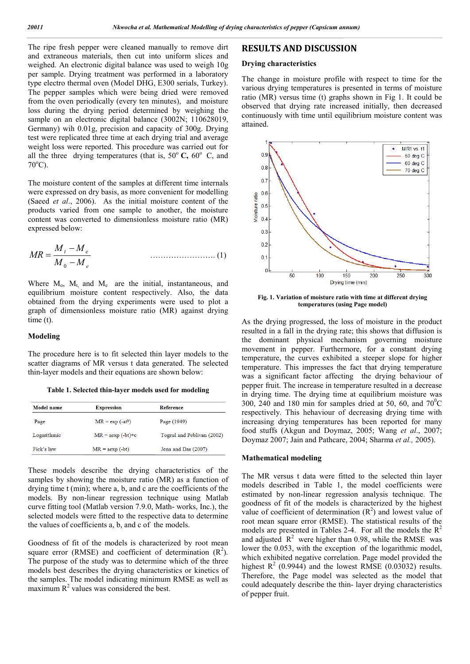The ripe fresh pepper were cleaned manually to remove dirt and extraneous materials, then cut into uniform slices and weighed. An electronic digital balance was used to weigh 10g per sample. Drying treatment was performed in a laboratory type electro thermal oven (Model DHG, E300 serials, Turkey). The pepper samples which were being dried were removed from the oven periodically (every ten minutes), and moisture loss during the drying period determined by weighing the sample on an electronic digital balance (3002N; 110628019, Germany) wih 0.01g, precision and capacity of 300g. Drying test were replicated three time at each drying trial and average weight loss were reported. This procedure was carried out for all the three drying temperatures (that is,  $50^{\circ}$  C,  $60^{\circ}$  C, and 70°C).

The moisture content of the samples at different time internals were expressed on dry basis, as more convenient for modelling (Saeed *et al*., 2006). As the initial moisture content of the products varied from one sample to another, the moisture content was converted to dimensionless moisture ratio (MR) expressed below:

$$
MR = \frac{M_t - M_e}{M_0 - M_e}
$$
 (1)

Where  $M_0$ ,  $M_t$  and  $M_e$  are the initial, instantaneous, and equilibrium moisture content respectively. Also, the data obtained from the drying experiments were used to plot a graph of dimensionless moisture ratio (MR) against drying time (t).

### **Modeling**

The procedure here is to fit selected thin layer models to the scatter diagrams of MR versus t data generated. The selected thin-layer models and their equations are shown below:

**Table 1. Selected thin-layer models used for modeling**

| Model name  | <b>Expression</b>  | <b>Reference</b>           |
|-------------|--------------------|----------------------------|
| Page        | $MR = exp(-at^b)$  | Page (1949)                |
| Logarithmic | $MR = aexp(-bt)+c$ | Togrul and Peblivan (2002) |
| Fick's law  | $MR = aexp(-bt)$   | Jena and Das (2007)        |

These models describe the drying characteristics of the samples by showing the moisture ratio (MR) as a function of drying time t (min); where a, b, and c are the coefficients of the models. By non-linear regression technique using Matlab curve fitting tool (Matlab version 7.9.0, Math- works, Inc.), the selected models were fitted to the respective data to determine the values of coefficients a, b, and c of the models.

Goodness of fit of the models is characterized by root mean square error (RMSE) and coefficient of determination  $(R^2)$ . The purpose of the study was to determine which of the three models best describes the drying characteristics or kinetics of the samples. The model indicating minimum RMSE as well as maximum  $R^2$  values was considered the best.

#### **RESULTS AND DISCUSSION**

#### **Drying characteristics**

The change in moisture profile with respect to time for the various drying temperatures is presented in terms of moisture ratio (MR) versus time (t) graphs shown in Fig 1. It could be observed that drying rate increased initially, then decreased continuously with time until equilibrium moisture content was attained.



**Fig. 1. Variation of moisture ratio with time at different drying temperatures (using Page model)**

As the drying progressed, the loss of moisture in the product resulted in a fall in the drying rate; this shows that diffusion is the dominant physical mechanism governing moisture movement in pepper. Furthermore, for a constant drying temperature, the curves exhibited a steeper slope for higher temperature. This impresses the fact that drying temperature was a significant factor affecting the drying behaviour of pepper fruit. The increase in temperature resulted in a decrease in drying time. The drying time at equilibrium moisture was 300, 240 and 180 min for samples dried at 50, 60, and  $70^{\circ}$ C respectively. This hehaviour of decreasing drying time with increasing drying temperatures has been reported for many food stuffs (Akgun and Doymaz, 2005; Wang *et al*., 2007; Doymaz 2007; Jain and Pathcare, 2004; Sharma *et al.,* 2005).

#### **Mathematical modeling**

The MR versus t data were fitted to the selected thin layer models described in Table 1, the model coefficients were estimated by non-linear regression analysis technique. The goodness of fit of the models is characterized by the highest value of coefficient of determination  $(R^2)$  and lowest value of root mean square error (RMSE). The statistical results of the models are presented in Tables 2-4. For all the models the  $R^2$ and adjusted  $\mathbb{R}^2$  were higher than 0.98, while the RMSE was lower the 0.053, with the exception of the logarithmic model, which exhibited negative correlation. Page model provided the highest  $R^2$  (0.9944) and the lowest RMSE (0.03032) results. Therefore, the Page model was selected as the model that could adequately describe the thin- layer drying characteristics of pepper fruit.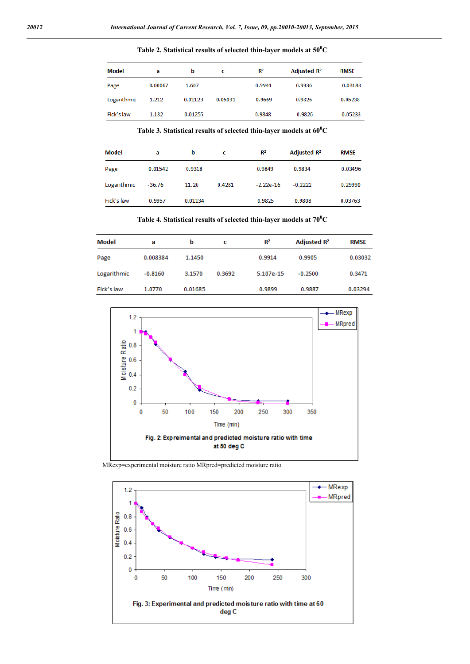### **Table 2. Statistical results of selected thin-layer models at 50<sup>0</sup> C**

| Model       | a       | b       | c       | $R^2$  | Adjusted R <sup>2</sup> | <b>RMSE</b> |
|-------------|---------|---------|---------|--------|-------------------------|-------------|
| Page        | 0.00067 | 1.607   |         | 0.9944 | 0.9936                  | 0.03188     |
| Logarithmic | 1.212   | 0.01123 | 0.05031 | 0.9669 | 0.9826                  | 0.05238     |
| Fick's law  | 1.182   | 0.01255 |         | 0.9848 | 0.9826                  | 0.05233     |

**Table 3. Statistical results of selected thin-layer models at 60<sup>0</sup> C**

| Model       | a        | b       | c      | $R^2$       | Adjusted R <sup>2</sup> | <b>RMSE</b> |
|-------------|----------|---------|--------|-------------|-------------------------|-------------|
| Page        | 0.01542  | 0.9318  |        | 0.9849      | 0.9834                  | 0.03496     |
| Logarithmic | $-36.76$ | 11.20   | 0.4281 | $-2.22e-16$ | $-0.2222$               | 0.29990     |
| Fick's law  | 0.9957   | 0.01134 |        | 0.9825      | 0.9808                  | 0.03763     |

**Table 4. Statistical results of selected thin-layer models at 70<sup>0</sup> C**

| Model       | a         | b       | с      | $R^2$     | Adjusted R <sup>2</sup> | <b>RMSE</b> |  |
|-------------|-----------|---------|--------|-----------|-------------------------|-------------|--|
| Page        | 0.008384  | 1.1450  |        | 0.9914    | 0.9905                  | 0.03032     |  |
| Logarithmic | $-0.8160$ | 3.1570  | 0.3692 | 5.107e-15 | $-0.2500$               | 0.3471      |  |
| Fick's law  | 1.0770    | 0.01685 |        | 0.9899    | 0.9887                  | 0.03294     |  |



MRexp=experimental moisture ratio MRpred=predicted moisture ratio